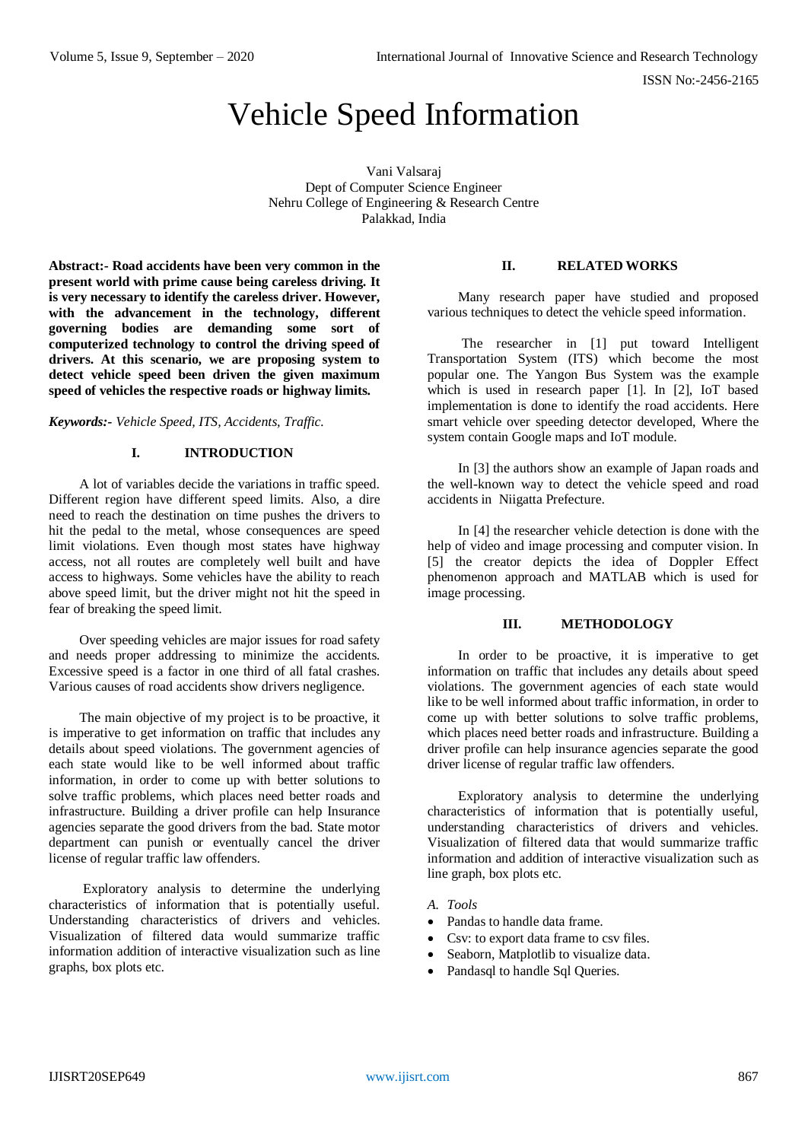# Vehicle Speed Information

Vani Valsaraj Dept of Computer Science Engineer Nehru College of Engineering & Research Centre Palakkad, India

**Abstract:- Road accidents have been very common in the present world with prime cause being careless driving. It is very necessary to identify the careless driver. However,**  with the advancement in the technology, different **governing bodies are demanding some sort of computerized technology to control the driving speed of drivers. At this scenario, we are proposing system to detect vehicle speed been driven the given maximum speed of vehicles the respective roads or highway limits.**

#### *Keywords:- Vehicle Speed, ITS, Accidents, Traffic.*

#### **I. INTRODUCTION**

A lot of variables decide the variations in traffic speed. Different region have different speed limits. Also, a dire need to reach the destination on time pushes the drivers to hit the pedal to the metal, whose consequences are speed limit violations. Even though most states have highway access, not all routes are completely well built and have access to highways. Some vehicles have the ability to reach above speed limit, but the driver might not hit the speed in fear of breaking the speed limit.

Over speeding vehicles are major issues for road safety and needs proper addressing to minimize the accidents. Excessive speed is a factor in one third of all fatal crashes. Various causes of road accidents show drivers negligence.

The main objective of my project is to be proactive, it is imperative to get information on traffic that includes any details about speed violations. The government agencies of each state would like to be well informed about traffic information, in order to come up with better solutions to solve traffic problems, which places need better roads and infrastructure. Building a driver profile can help Insurance agencies separate the good drivers from the bad. State motor department can punish or eventually cancel the driver license of regular traffic law offenders.

Exploratory analysis to determine the underlying characteristics of information that is potentially useful. Understanding characteristics of drivers and vehicles. Visualization of filtered data would summarize traffic information addition of interactive visualization such as line graphs, box plots etc.

## **II. RELATED WORKS**

Many research paper have studied and proposed various techniques to detect the vehicle speed information.

The researcher in [1] put toward Intelligent Transportation System (ITS) which become the most popular one. The Yangon Bus System was the example which is used in research paper [1]. In [2], IoT based implementation is done to identify the road accidents. Here smart vehicle over speeding detector developed, Where the system contain Google maps and IoT module.

In [3] the authors show an example of Japan roads and the well-known way to detect the vehicle speed and road accidents in Niigatta Prefecture.

In [4] the researcher vehicle detection is done with the help of video and image processing and computer vision. In [5] the creator depicts the idea of Doppler Effect phenomenon approach and MATLAB which is used for image processing.

#### **III. METHODOLOGY**

In order to be proactive, it is imperative to get information on traffic that includes any details about speed violations. The government agencies of each state would like to be well informed about traffic information, in order to come up with better solutions to solve traffic problems, which places need better roads and infrastructure. Building a driver profile can help insurance agencies separate the good driver license of regular traffic law offenders.

Exploratory analysis to determine the underlying characteristics of information that is potentially useful, understanding characteristics of drivers and vehicles. Visualization of filtered data that would summarize traffic information and addition of interactive visualization such as line graph, box plots etc.

#### *A. Tools*

- Pandas to handle data frame.
- Csv: to export data frame to csv files.
- Seaborn, Matplotlib to visualize data.
- Pandasql to handle Sql Queries.